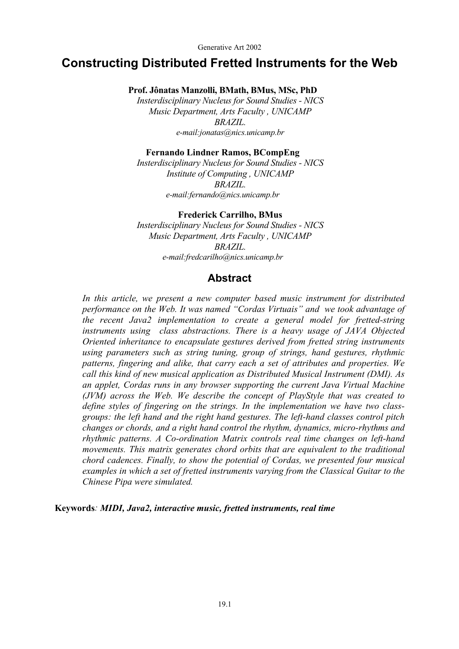Generative Art 2002

# **Constructing Distributed Fretted Instruments for the Web**

**Prof. Jônatas Manzolli, BMath, BMus, MSc, PhD** 

*Insterdisciplinary Nucleus for Sound Studies - NICS Music Department, Arts Faculty , UNICAMP BRAZIL. e-mail:jonatas@nics.unicamp.br* 

#### **Fernando Lindner Ramos, BCompEng**

*Insterdisciplinary Nucleus for Sound Studies - NICS Institute of Computing , UNICAMP BRAZIL. e-mail:fernando@nics.unicamp.br* 

#### **Frederick Carrilho, BMus**

*Insterdisciplinary Nucleus for Sound Studies - NICS Music Department, Arts Faculty , UNICAMP BRAZIL. e-mail:fredcarilho@nics.unicamp.br* 

#### **Abstract**

*In this article, we present a new computer based music instrument for distributed performance on the Web. It was named "Cordas Virtuais" and we took advantage of the recent Java2 implementation to create a general model for fretted-string instruments using class abstractions. There is a heavy usage of JAVA Objected Oriented inheritance to encapsulate gestures derived from fretted string instruments using parameters such as string tuning, group of strings, hand gestures, rhythmic patterns, fingering and alike, that carry each a set of attributes and properties. We call this kind of new musical application as Distributed Musical Instrument (DMI). As an applet, Cordas runs in any browser supporting the current Java Virtual Machine (JVM) across the Web. We describe the concept of PlayStyle that was created to define styles of fingering on the strings. In the implementation we have two classgroups: the left hand and the right hand gestures. The left-hand classes control pitch changes or chords, and a right hand control the rhythm, dynamics, micro-rhythms and rhythmic patterns. A Co-ordination Matrix controls real time changes on left-hand movements. This matrix generates chord orbits that are equivalent to the traditional chord cadences. Finally, to show the potential of Cordas, we presented four musical examples in which a set of fretted instruments varying from the Classical Guitar to the Chinese Pipa were simulated.* 

**Keywords***: MIDI, Java2, interactive music, fretted instruments, real time*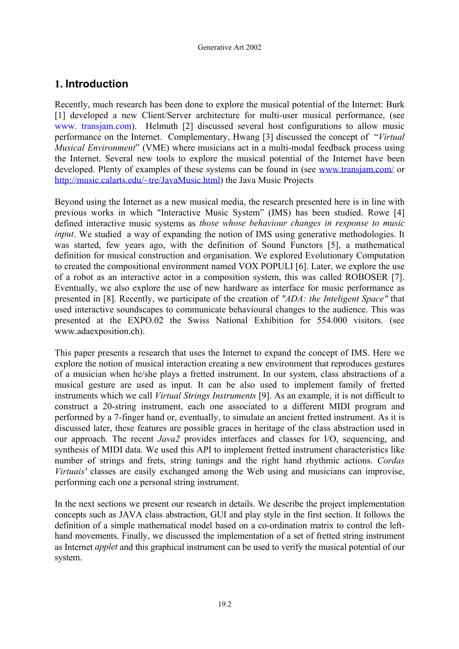# **1. Introduction**

Recently, much research has been done to explore the musical potential of the Internet: Burk [1] developed a new Client/Server architecture for multi-user musical performance, (see www. transjam.com). Helmuth [2] discussed several host configurations to allow music performance on the Internet. Complementary, Hwang [3] discussed the concept of "*Virtual Musical Environment*" (VME) where musicians act in a multi-modal feedback process using the Internet. Several new tools to explore the musical potential of the Internet have been developed. Plenty of examples of these systems can be found in (see [www.transjam.com/](http://www.transjam.com/) or <http://music.calarts.edu/~tre/JavaMusic.html>) the Java Music Projects

Beyond using the Internet as a new musical media, the research presented here is in line with previous works in which "Interactive Music System" (IMS) has been studied. Rowe [4] defined interactive music systems as *those whose behaviour changes in response to music input*. We studied a way of expanding the notion of IMS using generative methodologies. It was started, few years ago, with the definition of Sound Functors [5], a mathematical definition for musical construction and organisation. We explored Evolutionary Computation to created the compositional environment named VOX POPULI [6]. Later, we explore the use of a robot as an interactive actor in a composition system, this was called ROBOSER [7]. Eventually, we also explore the use of new hardware as interface for music performance as presented in [8]. Recently, we participate of the creation of *"ADA: the Inteligent Space"* that used interactive soundscapes to communicate behavioural changes to the audience. This was presented at the EXPO.02 the Swiss National Exhibition for 554.000 visitors. (see www.adaexposition.ch).

This paper presents a research that uses the Internet to expand the concept of IMS. Here we explore the notion of musical interaction creating a new environment that reproduces gestures of a musician when he/she plays a fretted instrument. In our system, class abstractions of a musical gesture are used as input. It can be also used to implement family of fretted instruments which we call *Virtual Strings Instruments* [9]. As an example, it is not difficult to construct a 20-string instrument, each one associated to a different MIDI program and performed by a 7-finger hand or, eventually, to simulate an ancient fretted instrument. As it is discussed later, these features are possible graces in heritage of the class abstraction used in our approach. The recent *Java2* provides interfaces and classes for I/O, sequencing, and synthesis of MIDI data. We used this API to implement fretted instrument characteristics like number of strings and frets, string tunings and the right hand rhythmic actions. *Cordas Virtuais'* classes are easily exchanged among the Web using and musicians can improvise, performing each one a personal string instrument.

In the next sections we present our research in details. We describe the project implementation concepts such as JAVA class abstraction, GUI and play style in the first section. It follows the definition of a simple mathematical model based on a co-ordination matrix to control the lefthand movements. Finally, we discussed the implementation of a set of fretted string instrument as Internet *applet* and this graphical instrument can be used to verify the musical potential of our system.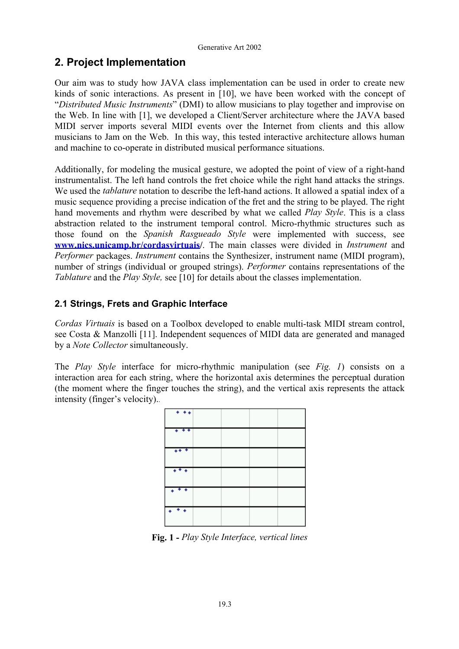# **2. Project Implementation**

Our aim was to study how JAVA class implementation can be used in order to create new kinds of sonic interactions. As present in [10], we have been worked with the concept of "*Distributed Music Instruments*" (DMI) to allow musicians to play together and improvise on the Web. In line with [1], we developed a Client/Server architecture where the JAVA based MIDI server imports several MIDI events over the Internet from clients and this allow musicians to Jam on the Web. In this way, this tested interactive architecture allows human and machine to co-operate in distributed musical performance situations.

Additionally, for modeling the musical gesture, we adopted the point of view of a right-hand instrumentalist. The left hand controls the fret choice while the right hand attacks the strings. We used the *tablature* notation to describe the left-hand actions. It allowed a spatial index of a music sequence providing a precise indication of the fret and the string to be played. The right hand movements and rhythm were described by what we called *Play Style*. This is a class abstraction related to the instrument temporal control. Micro-rhythmic structures such as those found on the *Spanish Rasgueado Style* were implemented with success, see **[www.nics.unicamp.br/cordasvirtuais](http://www.nics.unicamp.br/cordasvirtuais)/**. The main classes were divided in *Instrument* and *Performer* packages. *Instrument* contains the Synthesizer, instrument name (MIDI program), number of strings (individual or grouped strings). *Performer* contains representations of the *Tablature* and the *Play Style,* see [10] for details about the classes implementation.

### **2.1 Strings, Frets and Graphic Interface**

*Cordas Virtuais* is based on a Toolbox developed to enable multi-task MIDI stream control, see Costa & Manzolli [11]. Independent sequences of MIDI data are generated and managed by a *Note Collector* simultaneously.

The *Play Style* interface for micro-rhythmic manipulation (see *Fig. 1*) consists on a interaction area for each string, where the horizontal axis determines the perceptual duration (the moment where the finger touches the string), and the vertical axis represents the attack intensity (finger's velocity)..



**Fig. 1 -** *Play Style Interface, vertical lines*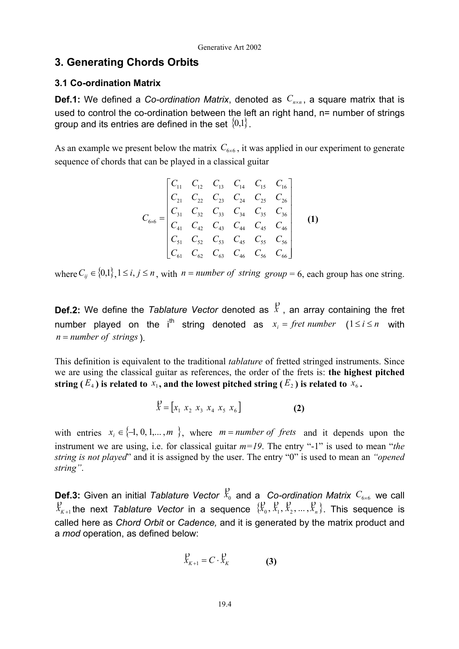### **3. Generating Chords Orbits**

#### **3.1 Co-ordination Matrix**

**Def.1:** We defined a *Co-ordination Matrix*, denoted as  $C_{n \times n}$ , a square matrix that is used to control the co-ordination between the left an right hand, n= number of strings group and its entries are defined in the set  $\{0,1\}$ .

As an example we present below the matrix  $C_{6\times 6}$ , it was applied in our experiment to generate sequence of chords that can be played in a classical guitar

$$
C_{6\times6} = \begin{bmatrix} C_{11} & C_{12} & C_{13} & C_{14} & C_{15} & C_{16} \ C_{21} & C_{22} & C_{23} & C_{24} & C_{25} & C_{26} \ C_{31} & C_{32} & C_{33} & C_{34} & C_{35} & C_{36} \ C_{41} & C_{42} & C_{43} & C_{44} & C_{45} & C_{46} \ C_{51} & C_{52} & C_{53} & C_{45} & C_{55} & C_{56} \ C_{61} & C_{62} & C_{63} & C_{46} & C_{56} & C_{66} \end{bmatrix}
$$
 (1)

*where*  $C_{ij}$  ∈ {0,1}, 1 ≤ *i*, *j* ≤ *n*, *with n* = *number of string group* = 6, each group has one string.

**Def.2:** We define the *Tablature Vector* denoted as  $\overset{p}{x}$ , an array containing the fret number played on the i<sup>th</sup> string denoted as  $x_i = \text{fret number } (1 \leq i \leq n \text{ with } i$ ). *n* = *number of strings*

This definition is equivalent to the traditional *tablature* of fretted stringed instruments. Since we are using the classical guitar as references, the order of the frets is: **the highest pitched string** ( $E_4$ ) is related to  $x_1$ , and the lowest pitched string ( $E_2$ ) is related to  $x_6$ .

$$
\mathcal{X} = [x_1 \ x_2 \ x_3 \ x_4 \ x_5 \ x_6]
$$
 (2)

with entries  $x_i \in \{-1, 0, 1, \ldots, m\}$ , where  $m = number of \text{ frets}$  and it depends upon the instrument we are using, i.e. for classical guitar *m=19*. The entry "-1" is used to mean "*the string is not played*" and it is assigned by the user. The entry "0" is used to mean an *"opened string"*.

**Def.3:** Given an initial *Tablature Vector*  $\overset{\text{D}}{x_0}$  and a *Co-ordination Matrix*  $C_{6\times 6}$  we call  $R_{K+1}$  the next *Tablature Vector* in a sequence  $\{R_0, R_1, R_2, ..., R_n\}$ . This sequence is called here as *Chord Orbit* or *Cadence,* and it is generated by the matrix product and a *mod* operation, as defined below:

$$
\mathcal{L}_{K+1} = C \cdot \mathcal{L}_K \tag{3}
$$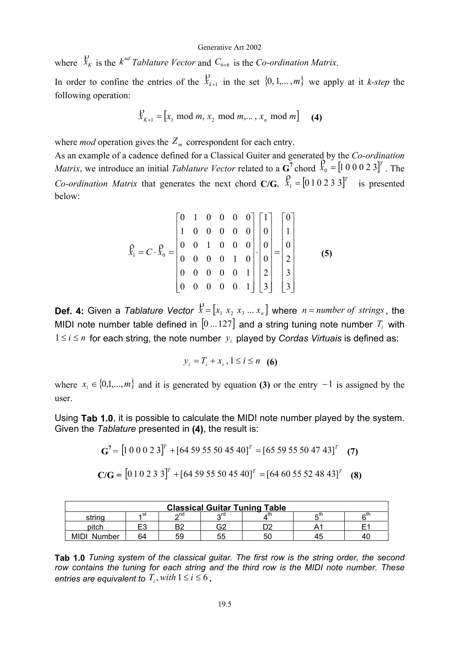where  $\int_{K_K}^{\infty}$  is the *k*<sup>*nd</sup>* Tablature *Vector* and  $C_{6\times 6}$  is the *Co-ordination Matrix*.</sup>

In order to confine the entries of the  $\mathcal{L}_{k+1}$  in the set  $\{0, 1, \ldots, m\}$  we apply at it *k-step* the following operation:

$$
\mathcal{X}_{K+1} = [x_1 \mod m, x_2 \mod m, ..., x_n \mod m] \quad (4)
$$

where *mod* operation gives the  $Z_m$  correspondent for each entry.

As an example of a cadence defined for a Classical Guiter and generated by the *Co-ordination Matrix*, we introduce an initial *Tablature Vector* related to a  $\mathbf{G}^7$  chord  $\mathbf{G}^0 = \begin{bmatrix} 1 & 0 & 0 & 0 & 2 & 3 \end{bmatrix}^T$ . The *Co-ordination Matrix* that generates the next chord **C/G**,  $\overline{X}_1 = [0 \ 1 \ 0 \ 2 \ 3 \ 3]^T$  is presented below:

$$
\hat{X}_1 = C \cdot \hat{X}_0 = \begin{bmatrix} 0 & 1 & 0 & 0 & 0 & 0 \\ 1 & 0 & 0 & 0 & 0 & 0 \\ 0 & 0 & 1 & 0 & 0 & 0 \\ 0 & 0 & 0 & 0 & 1 & 0 \\ 0 & 0 & 0 & 0 & 0 & 1 \\ 0 & 0 & 0 & 0 & 0 & 1 \end{bmatrix} \cdot \begin{bmatrix} 1 \\ 0 \\ 0 \\ 0 \\ 2 \\ 3 \end{bmatrix} = \begin{bmatrix} 0 \\ 1 \\ 0 \\ 2 \\ 3 \\ 3 \end{bmatrix}
$$
 (5)

**Def. 4:** Given a *Tablature Vector*  $\overline{X} = [x_1 \ x_2 \ x_3 \ ... \ x_n]$  where  $n = number of strings$ , the MIDI note number table defined in  $[0...127]$  and a string tuning note number  $T_i$  with  $1 ≤ i ≤ n$  for each string, the note number  $y_i$  played by *Cordas Virtuais* is defined as:

$$
y_i = T_i + x_i, 1 \le i \le n \quad (6)
$$

where  $x_i \in \{0,1,...,m\}$  and it is generated by equation **(3)** or the entry  $-1$  is assigned by the user.

Using **Tab 1.0**, it is possible to calculate the MIDI note number played by the system. Given the *Tablature* presented in **(4)**, the result is:

$$
\mathbf{G}^7 = \begin{bmatrix} 1 & 0 & 0 & 0 & 2 & 3 \end{bmatrix}^T + \begin{bmatrix} 64 & 59 & 55 & 50 & 45 & 40 \end{bmatrix}^T = \begin{bmatrix} 65 & 59 & 55 & 50 & 47 & 43 \end{bmatrix}^T
$$
 (7)

$$
C/G = [0 1 0 2 3 3]^T + [64 59 55 50 45 40]^T = [64 60 55 52 48 43]^T
$$
 (8)

| <b>Classical Guitar Tuning Table</b>     |           |     |    |    |    |  |  |  |  |
|------------------------------------------|-----------|-----|----|----|----|--|--|--|--|
| ∩nd<br>∽rd<br>ı St<br>∩th<br>– tr<br>. u |           |     |    |    |    |  |  |  |  |
| pitch                                    | −∩<br>- 4 | ∩ים | G2 |    |    |  |  |  |  |
| MII<br>Number                            | 64        | 59  | 55 | 50 | 45 |  |  |  |  |

**Tab 1.0** *Tuning system of the classical guitar. The first row is the string order, the second row contains the tuning for each string and the third row is the MIDI note number. These entries are equivalent to*  $T_i$ , with  $1 \le i \le 6$ .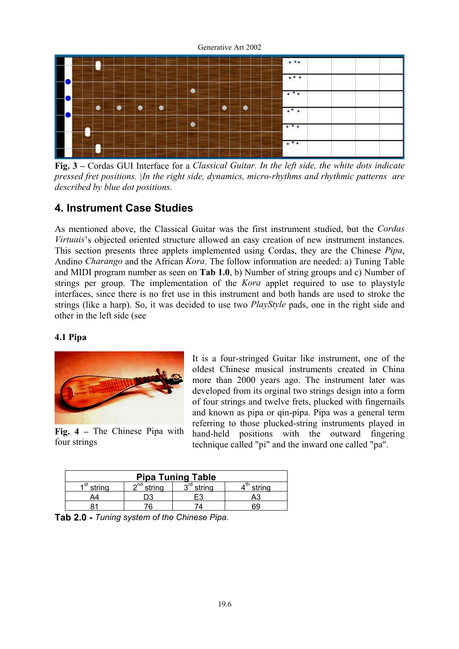

**Fig. 3 –** Cordas GUI Interface for a *Classical Guitar. In the left side, the white dots indicate pressed fret positions. |In the right side, dynamics, micro-rhythms and rhythmic patterns are described by blue dot positions.*

## **4. Instrument Case Studies**

As mentioned above, the Classical Guitar was the first instrument studied, but the *Cordas Virtuais*'s objected oriented structure allowed an easy creation of new instrument instances. This section presents three applets implemented using Cordas, they are the Chinese *Pipa*, Andino *Charango* and the African *Kora*. The follow information are needed: a) Tuning Table and MIDI program number as seen on **Tab 1.0**, b) Number of string groups and c) Number of strings per group. The implementation of the *Kora* applet required to use to playstyle interfaces, since there is no fret use in this instrument and both hands are used to stroke the strings (like a harp). So, it was decided to use two *PlayStyle* pads, one in the right side and other in the left side (see

#### **4.1 Pipa**



It is a four-stringed Guitar like instrument, one of the oldest Chinese musical instruments created in China more than 2000 years ago. The instrument later was developed from its orginal two strings design into a form of four strings and twelve frets, plucked with fingernails and known as pipa or qin-pipa. Pipa was a general term referring to those plucked-string instruments played in hand-held positions with the outward fingering technique called "pi" and the inward one called "pa".

|              | Fig. $4$ – The Chinese Pipa with |  |
|--------------|----------------------------------|--|
| four strings |                                  |  |

| <b>Pipa Tuning Table</b> |                    |        |        |  |  |  |  |
|--------------------------|--------------------|--------|--------|--|--|--|--|
| st.<br>string            | $\sim$ nd<br>trino | string | strina |  |  |  |  |
|                          |                    |        |        |  |  |  |  |
|                          |                    |        |        |  |  |  |  |

**Tab 2.0 -** *Tuning system of the Chinese Pipa.*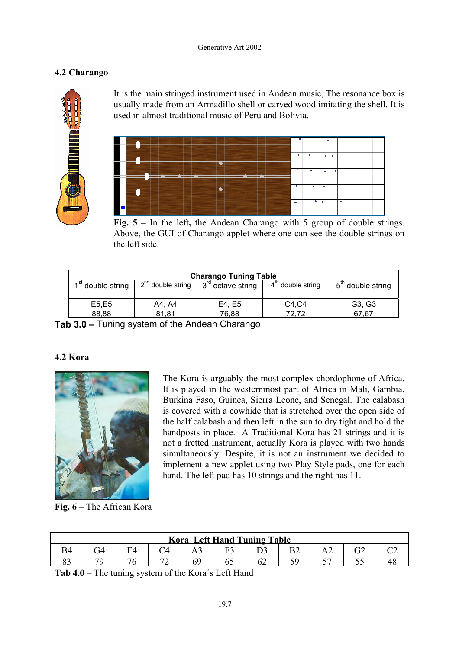#### Generative Art 2002

### **4.2 Charango**



It is the main stringed instrument used in Andean music, The resonance box is usually made from an Armadillo shell or carved wood imitating the shell. It is used in almost traditional music of Peru and Bolivia.



**Fig. 5 –** In the left**,** the Andean Charango with 5 group of double strings. Above, the GUI of Charango applet where one can see the double strings on the left side.

| <b>Charango Tuning Table</b>                                                                                                                            |        |        |       |        |  |  |  |  |
|---------------------------------------------------------------------------------------------------------------------------------------------------------|--------|--------|-------|--------|--|--|--|--|
| 4 <sup>th</sup> double string<br>2 <sup>nd</sup> double string<br>$5th$ double string<br>1 <sup>st</sup> double string<br>3 <sup>rd</sup> octave string |        |        |       |        |  |  |  |  |
| E5,E5                                                                                                                                                   | A4. A4 | E4, E5 | C4.C4 | G3, G3 |  |  |  |  |
| 88,88                                                                                                                                                   | 81.81  | 76.88  | 72.72 | 67.67  |  |  |  |  |

**Tab 3.0 –** Tuning system of the Andean Charango

#### **4.2 Kora**



**Fig. 6 –** The African Kora

The Kora is arguably the most complex chordophone of Africa. It is played in the westernmost part of Africa in Mali, Gambia, Burkina Faso, Guinea, Sierra Leone, and Senegal. The calabash is covered with a cowhide that is stretched over the open side of the half calabash and then left in the sun to dry tight and hold the handposts in place. A Traditional Kora has 21 strings and it is not a fretted instrument, actually Kora is played with two hands simultaneously. Despite, it is not an instrument we decided to implement a new applet using two Play Style pads, one for each hand. The left pad has 10 strings and the right has 11.

| <b>Kora Left Hand Tuning Table</b> |  |  |  |            |  |     |  |       |  |  |
|------------------------------------|--|--|--|------------|--|-----|--|-------|--|--|
|                                    |  |  |  | $\sim 1 -$ |  |     |  | 1 P.A |  |  |
|                                    |  |  |  |            |  | ے ر |  |       |  |  |

**Tab 4.0** – The tuning system of the Kora´s Left Hand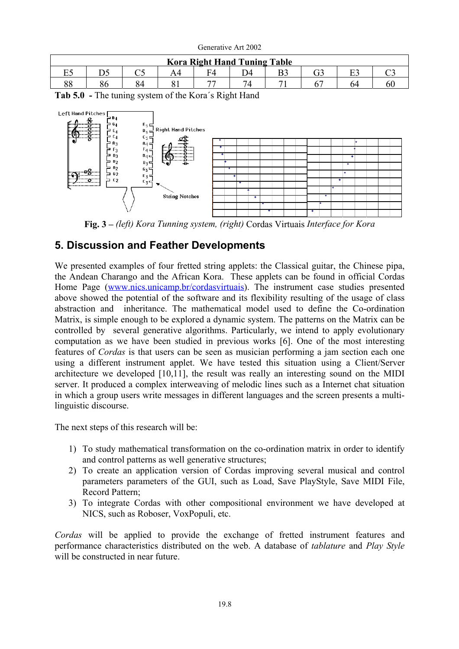| $\alpha$                            |  |   |  |  |              |  |  |    |  |
|-------------------------------------|--|---|--|--|--------------|--|--|----|--|
| <b>Kora Right Hand Tuning Table</b> |  |   |  |  |              |  |  |    |  |
| o<br>44<br>⊷                        |  |   |  |  |              |  |  |    |  |
| o o<br>oο                           |  | ∼ |  |  | $74^{\circ}$ |  |  | 74 |  |

Generative Art 2002

**Tab 5.0 -** The tuning system of the Kora´s Right Hand



**Fig. 3 –** *(left) Kora Tunning system, (right)* Cordas Virtuais *Interface for Kora*

## **5. Discussion and Feather Developments**

We presented examples of four fretted string applets: the Classical guitar, the Chinese pipa, the Andean Charango and the African Kora. These applets can be found in official Cordas Home Page ([www.nics.unicamp.br/cordasvirtuais](http://www.nics.unicamp.br/cordasvirtuais)). The instrument case studies presented above showed the potential of the software and its flexibility resulting of the usage of class abstraction and inheritance. The mathematical model used to define the Co-ordination Matrix, is simple enough to be explored a dynamic system. The patterns on the Matrix can be controlled by several generative algorithms. Particularly, we intend to apply evolutionary computation as we have been studied in previous works [6]. One of the most interesting features of *Cordas* is that users can be seen as musician performing a jam section each one using a different instrument applet. We have tested this situation using a Client/Server architecture we developed [10,11], the result was really an interesting sound on the MIDI server. It produced a complex interweaving of melodic lines such as a Internet chat situation in which a group users write messages in different languages and the screen presents a multilinguistic discourse.

The next steps of this research will be:

- 1) To study mathematical transformation on the co-ordination matrix in order to identify and control patterns as well generative structures;
- 2) To create an application version of Cordas improving several musical and control parameters parameters of the GUI, such as Load, Save PlayStyle, Save MIDI File, Record Pattern;
- 3) To integrate Cordas with other compositional environment we have developed at NICS, such as Roboser, VoxPopuli, etc.

*Cordas* will be applied to provide the exchange of fretted instrument features and performance characteristics distributed on the web. A database of *tablature* and *Play Style*  will be constructed in near future.